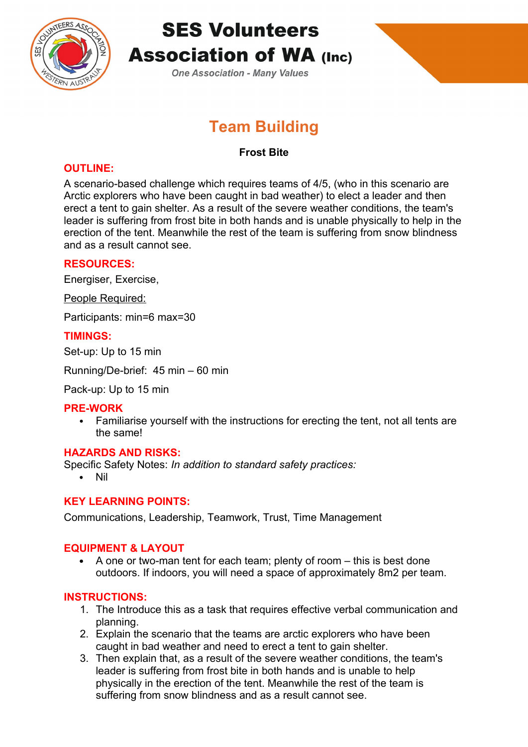

# **SES Volunteers Association of WA (Inc)**

**One Association - Many Values** 

## **Team Building**

## **Frost Bite**

## **OUTLINE:**

A scenario-based challenge which requires teams of 4/5, (who in this scenario are Arctic explorers who have been caught in bad weather) to elect a leader and then erect a tent to gain shelter. As a result of the severe weather conditions, the team's leader is suffering from frost bite in both hands and is unable physically to help in the erection of the tent. Meanwhile the rest of the team is suffering from snow blindness and as a result cannot see.

## **RESOURCES:**

Energiser, Exercise,

People Required:

Participants: min=6 max=30

## **TIMINGS:**

Set-up: Up to 15 min

Running/De-brief: 45 min – 60 min

Pack-up: Up to 15 min

#### **PRE-WORK**

• Familiarise yourself with the instructions for erecting the tent, not all tents are the same!

#### **HAZARDS AND RISKS:**

Specific Safety Notes: *In addition to standard safety practices:*

Nil

## **KEY LEARNING POINTS:**

Communications, Leadership, Teamwork, Trust, Time Management

## **EQUIPMENT & LAYOUT**

 $\bullet$  A one or two-man tent for each team; plenty of room  $-$  this is best done outdoors. If indoors, you will need a space of approximately 8m2 per team.

## **INSTRUCTIONS:**

- 1. The Introduce this as a task that requires effective verbal communication and planning.
- 2. Explain the scenario that the teams are arctic explorers who have been caught in bad weather and need to erect a tent to gain shelter.
- 3. Then explain that, as a result of the severe weather conditions, the team's leader is suffering from frost bite in both hands and is unable to help physically in the erection of the tent. Meanwhile the rest of the team is suffering from snow blindness and as a result cannot see.